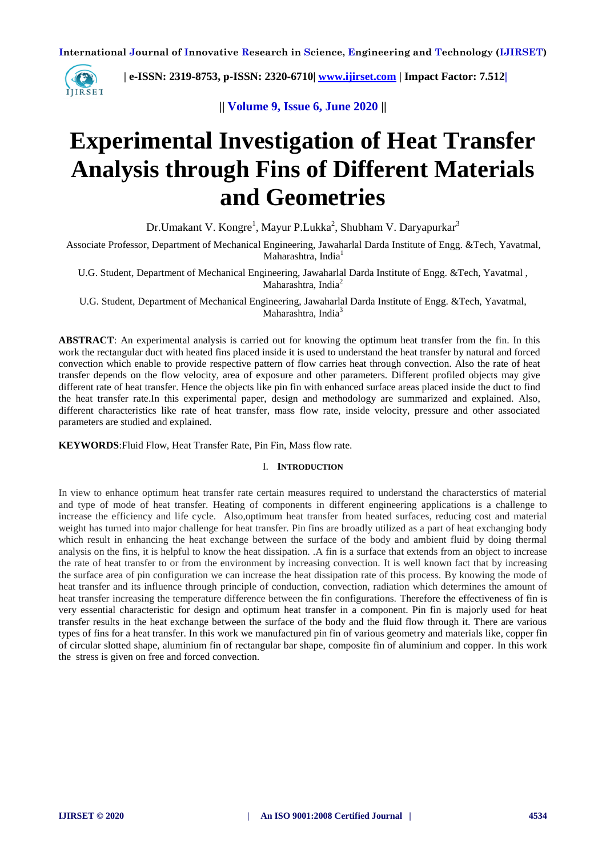

 **| e-ISSN: 2319-8753, p-ISSN: 2320-6710| [www.ijirset.com](http://www.ijirset.com/) | Impact Factor: 7.512|**

**|| Volume 9, Issue 6, June 2020 ||**

# **Experimental Investigation of Heat Transfer Analysis through Fins of Different Materials and Geometries**

Dr.Umakant V. Kongre<sup>1</sup>, Mayur P.Lukka<sup>2</sup>, Shubham V. Daryapurkar<sup>3</sup>

Associate Professor, Department of Mechanical Engineering, Jawaharlal Darda Institute of Engg. &Tech, Yavatmal, Maharashtra, India<sup>1</sup>

U.G. Student, Department of Mechanical Engineering, Jawaharlal Darda Institute of Engg. &Tech, Yavatmal , Maharashtra, India<sup>2</sup>

U.G. Student, Department of Mechanical Engineering, Jawaharlal Darda Institute of Engg. &Tech, Yavatmal, Maharashtra, India<sup>3</sup>

**ABSTRACT**: An experimental analysis is carried out for knowing the optimum heat transfer from the fin. In this work the rectangular duct with heated fins placed inside it is used to understand the heat transfer by natural and forced convection which enable to provide respective pattern of flow carries heat through convection. Also the rate of heat transfer depends on the flow velocity, area of exposure and other parameters. Different profiled objects may give different rate of heat transfer. Hence the objects like pin fin with enhanced surface areas placed inside the duct to find the heat transfer rate.In this experimental paper, design and methodology are summarized and explained. Also, different characteristics like rate of heat transfer, mass flow rate, inside velocity, pressure and other associated parameters are studied and explained.

**KEYWORDS**:Fluid Flow, Heat Transfer Rate, Pin Fin, Mass flow rate.

# I. **INTRODUCTION**

In view to enhance optimum heat transfer rate certain measures required to understand the characterstics of material and type of mode of heat transfer. Heating of components in different engineering applications is a challenge to increase the efficiency and life cycle. Also,optimum heat transfer from heated surfaces, reducing cost and material weight has turned into major challenge for heat transfer. Pin fins are broadly utilized as a part of heat exchanging body which result in enhancing the heat exchange between the surface of the body and ambient fluid by doing thermal analysis on the fins, it is helpful to know the heat dissipation. .A fin is a surface that extends from an object to increase the rate of heat transfer to or from the environment by increasing convection. It is well known fact that by increasing the surface area of pin configuration we can increase the heat dissipation rate of this process. By knowing the mode of heat transfer and its influence through principle of conduction, convection, radiation which determines the amount of heat transfer increasing the temperature difference between the fin configurations. Therefore the effectiveness of fin is very essential characteristic for design and optimum heat transfer in a component. Pin fin is majorly used for heat transfer results in the heat exchange between the surface of the body and the fluid flow through it. There are various types of fins for a heat transfer. In this work we manufactured pin fin of various geometry and materials like, copper fin of circular slotted shape, aluminium fin of rectangular bar shape, composite fin of aluminium and copper. In this work the stress is given on free and forced convection.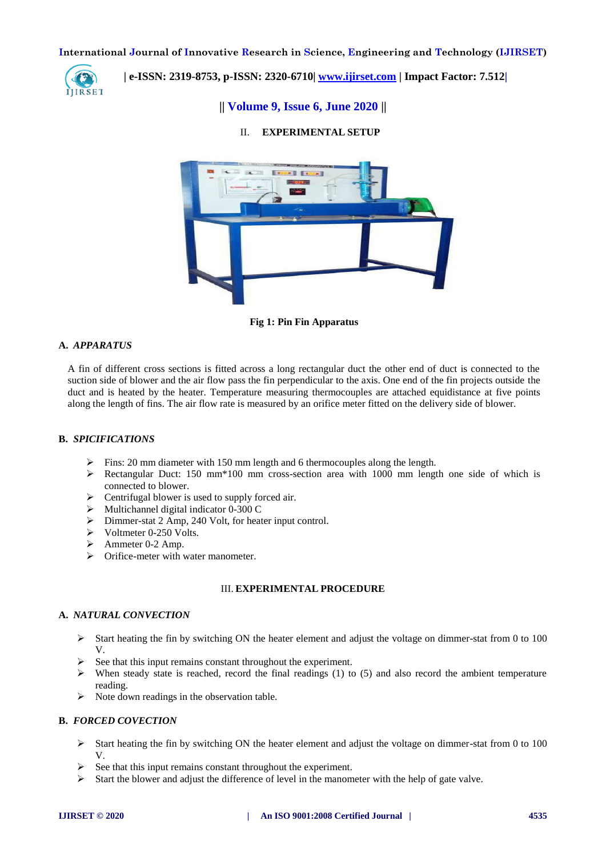

 **| e-ISSN: 2319-8753, p-ISSN: 2320-6710| [www.ijirset.com](http://www.ijirset.com/) | Impact Factor: 7.512|**

# **|| Volume 9, Issue 6, June 2020 ||**

# II. **EXPERIMENTAL SETUP**



**Fig 1: Pin Fin Apparatus**

## **A.** *APPARATUS*

A fin of different cross sections is fitted across a long rectangular duct the other end of duct is connected to the suction side of blower and the air flow pass the fin perpendicular to the axis. One end of the fin projects outside the duct and is heated by the heater. Temperature measuring thermocouples are attached equidistance at five points along the length of fins. The air flow rate is measured by an orifice meter fitted on the delivery side of blower.

# **B.** *SPICIFICATIONS*

- Fins: 20 mm diameter with 150 mm length and 6 thermocouples along the length.
- Rectangular Duct: 150 mm\*100 mm cross-section area with 1000 mm length one side of which is connected to blower.
- Centrifugal blower is used to supply forced air.
- $\triangleright$  Multichannel digital indicator 0-300 C
- Dimmer-stat 2 Amp, 240 Volt, for heater input control.
- $\triangleright$  Voltmeter 0-250 Volts.
- $\blacktriangleright$  Ammeter 0-2 Amp.
- $\triangleright$  Orifice-meter with water manometer.

# III. **EXPERIMENTAL PROCEDURE**

# **A.** *NATURAL CONVECTION*

- $\triangleright$  Start heating the fin by switching ON the heater element and adjust the voltage on dimmer-stat from 0 to 100 V.
- See that this input remains constant throughout the experiment.
- $\triangleright$  When steady state is reached, record the final readings (1) to (5) and also record the ambient temperature reading.
- $\triangleright$  Note down readings in the observation table.

## **B.** *FORCED COVECTION*

- $\triangleright$  Start heating the fin by switching ON the heater element and adjust the voltage on dimmer-stat from 0 to 100 V.
- See that this input remains constant throughout the experiment.
- $\triangleright$  Start the blower and adjust the difference of level in the manometer with the help of gate valve.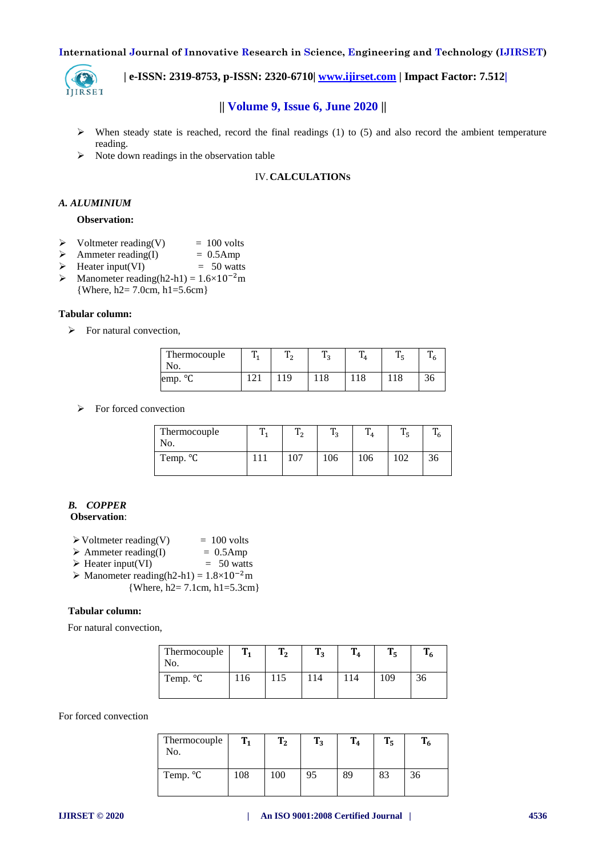

 **| e-ISSN: 2319-8753, p-ISSN: 2320-6710| [www.ijirset.com](http://www.ijirset.com/) | Impact Factor: 7.512|**

# **|| Volume 9, Issue 6, June 2020 ||**

- $\triangleright$  When steady state is reached, record the final readings (1) to (5) and also record the ambient temperature reading.
- $\triangleright$  Note down readings in the observation table

# IV.**CALCULATIONS**

## *A. ALUMINIUM*

#### **Observation:**

- $\triangleright$  Voltmeter reading(V) = 100 volts
- $\triangleright$  Ammeter reading(I) = 0.5Amp
- $\triangleright$  Heater input(VI) = 50 watts
- $\triangleright$  Manometer reading(h2-h1) = 1.6×10<sup>-2</sup>m {Where, h2= 7.0cm, h1=5.6cm}

#### **Tabular column:**

 $\triangleright$  For natural convection,

| Thermocouple                | m  | m<br>12<br>∼ | m<br>n                | m   | m<br>ر | m<br>O |
|-----------------------------|----|--------------|-----------------------|-----|--------|--------|
| NO.<br>$\circ$<br>emp.<br>◡ | ∠⊥ |              | $^{\bullet}$ O<br>110 | 1 O | 110    | υU     |

 $\triangleright$  For forced convection

| Thermocouple<br>No. | m<br>$\mathbf{1}$ | m<br>n | m   | m   |    |
|---------------------|-------------------|--------|-----|-----|----|
| Temp. °C            | 107               | 106    | 106 | 102 | 36 |

#### *B. COPPER* **Observation**:

- $\triangleright$  Voltmeter reading(V) = 100 volts
- $\triangleright$  Ammeter reading(I) = 0.5Amp
- $\triangleright$  Heater input(VI) = 50 watts
- $\triangleright$  Manometer reading(h2-h1) = 1.8×10<sup>-2</sup>m {Where, h2= 7.1cm, h1=5.3cm}

#### **Tabular column:**

For natural convection,

| Thermocouple<br>No. | m  | T<br>ת 1 | ᠁<br>12 | m  | П   | -6 |
|---------------------|----|----------|---------|----|-----|----|
| Temp. °C            | 16 | 115      | 14      | 14 | 109 | 36 |

For forced convection

| Thermocouple<br>No. | $T_1$ | T <sub>2</sub> | $T_3$ | $T_4$ | $T_5$ |    |
|---------------------|-------|----------------|-------|-------|-------|----|
| Temp. °C            | 108   | 100            | 95    | 89    | 83    | 36 |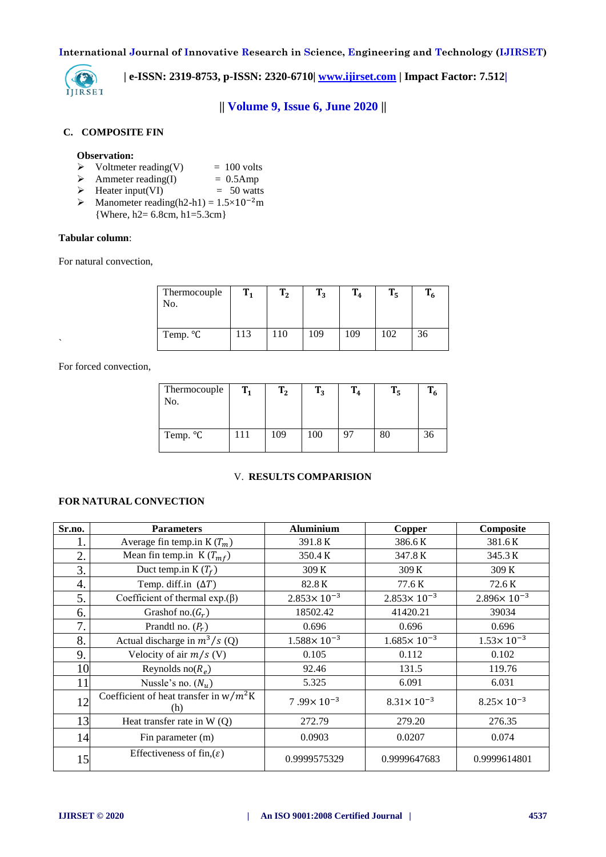

 **| e-ISSN: 2319-8753, p-ISSN: 2320-6710| [www.ijirset.com](http://www.ijirset.com/) | Impact Factor: 7.512|**

**|| Volume 9, Issue 6, June 2020 ||**

# **C. COMPOSITE FIN**

#### **Observation:**

- $\triangleright$  Voltmeter reading(V) = 100 volts
- $\triangleright$  Ammeter reading(I) = 0.5Amp
- $\triangleright$  Heater input(VI) = 50 watts
- $\triangleright$  Manometer reading(h2-h1) = 1.5×10<sup>-2</sup>m
	- {Where, h2= 6.8cm, h1=5.3cm}

# **Tabular column**:

For natural convection,

| Thermocouple<br>No. | $T_{1}$ | T <sub>2</sub> | $T_3$ | $T_4$ | T.  | - 6 |
|---------------------|---------|----------------|-------|-------|-----|-----|
| Temp. °C            | 113     | 110            | 109   | 109   | 102 | 36  |

For forced convection,

 $\ddot{\phantom{0}}$ 

| Thermocouple<br>No. | $T_1$         | $T_2$ | $T_3$ | $T_4$ | $T_5$ | $T_6$ |
|---------------------|---------------|-------|-------|-------|-------|-------|
| Temp. °C            | <sup>11</sup> | 109   | 100   |       | 80    | 36    |

#### V. **RESULTS COMPARISION**

# **FOR NATURAL CONVECTION**

| Sr.no. | <b>Parameters</b>                               | <b>Aluminium</b>       | <b>Copper</b>          | Composite              |
|--------|-------------------------------------------------|------------------------|------------------------|------------------------|
| 1.     | Average fin temp.in K $(T_m)$                   | 391.8K                 | 386.6 K                | 381.6K                 |
| 2.     | Mean fin temp.in $K(T_{mf})$                    | 350.4 K                | 347.8 K                | 345.3 K                |
| 3.     | Duct temp.in $K(T_f)$                           | 309 K                  | 309 K                  | 309 K                  |
| 4.     | Temp. diff.in $(\Delta T)$                      | 82.8 K                 | 77.6K                  | 72.6K                  |
| 5.     | Coefficient of thermal $exp.(\beta)$            | $2.853 \times 10^{-3}$ | $2.853 \times 10^{-3}$ | $2.896 \times 10^{-3}$ |
| 6.     | Grashof no. $(G_r)$                             | 18502.42               | 41420.21               | 39034                  |
| 7.     | Prandtl no. $(P_r)$                             | 0.696                  | 0.696                  | 0.696                  |
| 8.     | Actual discharge in $m^3/s$ (Q)                 | $1.588 \times 10^{-3}$ | $1.685 \times 10^{-3}$ | $1.53 \times 10^{-3}$  |
| 9.     | Velocity of air $m/s$ (V)                       | 0.105                  | 0.112                  | 0.102                  |
| 10     | Reynolds no $(R_e)$                             | 92.46                  | 131.5                  | 119.76                 |
| 11     | Nussle's no. $(N_u)$                            | 5.325                  | 6.091                  | 6.031                  |
| 12     | Coefficient of heat transfer in $w/m^2K$<br>(h) | $7.99 \times 10^{-3}$  | $8.31 \times 10^{-3}$  | $8.25 \times 10^{-3}$  |
| 13     | Heat transfer rate in $W(Q)$                    | 272.79                 | 279.20                 | 276.35                 |
| 14     | Fin parameter (m)                               | 0.0903                 | 0.0207                 | 0.074                  |
| 15     | Effectiveness of fin, $(\varepsilon)$           | 0.9999575329           | 0.9999647683           | 0.9999614801           |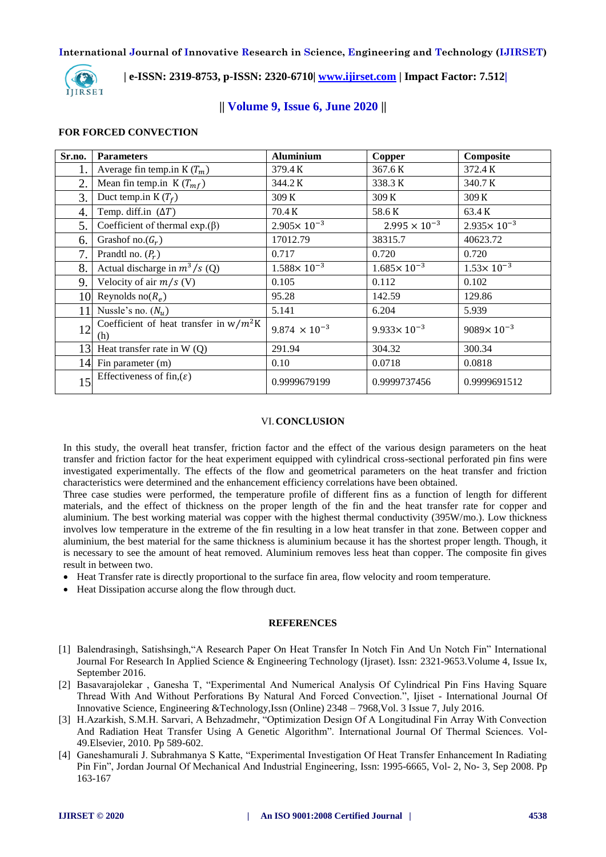

 **| e-ISSN: 2319-8753, p-ISSN: 2320-6710| [www.ijirset.com](http://www.ijirset.com/) | Impact Factor: 7.512|**

# **|| Volume 9, Issue 6, June 2020 ||**

## **FOR FORCED CONVECTION**

| Sr.no. | <b>Parameters</b>                               | <b>Aluminium</b>       | Copper                 | Composite              |
|--------|-------------------------------------------------|------------------------|------------------------|------------------------|
| 1.     | Average fin temp.in K $(T_m)$                   | 379.4 K                | 367.6 K                | 372.4 K                |
| 2.     | Mean fin temp.in $K(T_{mf})$                    | 344.2 K                | 338.3K                 | 340.7 K                |
| 3.     | Duct temp.in $K(T_f)$                           | 309 K                  | 309 K                  | 309 K                  |
| 4.     | Temp. diff.in $(\Delta T)$                      | 70.4 K                 | 58.6K                  | 63.4 K                 |
| 5.     | Coefficient of thermal $exp.(\beta)$            | $2.905 \times 10^{-3}$ | $2.995 \times 10^{-3}$ | $2.935 \times 10^{-3}$ |
| 6.     | Grashof no. $(G_r)$                             | 17012.79               | 38315.7                | 40623.72               |
| 7.     | Prandtl no. $(P_r)$                             | 0.717                  | 0.720                  | 0.720                  |
| 8.     | Actual discharge in $m^3/s$ (Q)                 | $1.588 \times 10^{-3}$ | $1.685 \times 10^{-3}$ | $1.53 \times 10^{-3}$  |
| 9.     | Velocity of air $m/s$ (V)                       | 0.105                  | 0.112                  | 0.102                  |
|        | 10 Reynolds no $(R_e)$                          | 95.28                  | 142.59                 | 129.86                 |
| 11     | Nussle's no. $(N_u)$                            | 5.141                  | 6.204                  | 5.939                  |
| 12     | Coefficient of heat transfer in $w/m^2K$<br>(h) | $9.874 \times 10^{-3}$ | $9.933 \times 10^{-3}$ | $9089 \times 10^{-3}$  |
| 13     | Heat transfer rate in $W(Q)$                    | 291.94                 | 304.32                 | 300.34                 |
|        | 14 Fin parameter (m)                            | 0.10                   | 0.0718                 | 0.0818                 |
| 15     | Effectiveness of fin, $(\varepsilon)$           | 0.9999679199           | 0.9999737456           | 0.9999691512           |

## VI.**CONCLUSION**

In this study, the overall heat transfer, friction factor and the effect of the various design parameters on the heat transfer and friction factor for the heat experiment equipped with cylindrical cross-sectional perforated pin fins were investigated experimentally. The effects of the flow and geometrical parameters on the heat transfer and friction characteristics were determined and the enhancement efficiency correlations have been obtained.

Three case studies were performed, the temperature profile of different fins as a function of length for different materials, and the effect of thickness on the proper length of the fin and the heat transfer rate for copper and aluminium. The best working material was copper with the highest thermal conductivity (395W/mo.). Low thickness involves low temperature in the extreme of the fin resulting in a low heat transfer in that zone. Between copper and aluminium, the best material for the same thickness is aluminium because it has the shortest proper length. Though, it is necessary to see the amount of heat removed. Aluminium removes less heat than copper. The composite fin gives result in between two.

- Heat Transfer rate is directly proportional to the surface fin area, flow velocity and room temperature.
- Heat Dissipation accurse along the flow through duct.

#### **REFERENCES**

- [1] Balendrasingh, Satishsingh,"A Research Paper On Heat Transfer In Notch Fin And Un Notch Fin" International Journal For Research In Applied Science & Engineering Technology (Ijraset). Issn: 2321-9653.Volume 4, Issue Ix, September 2016.
- [2] Basavarajolekar , Ganesha T, "Experimental And Numerical Analysis Of Cylindrical Pin Fins Having Square Thread With And Without Perforations By Natural And Forced Convection.", Ijiset - International Journal Of Innovative Science, Engineering &Technology,Issn (Online) 2348 – 7968,Vol. 3 Issue 7, July 2016.
- [3] H.Azarkish, S.M.H. Sarvari, A Behzadmehr, "Optimization Design Of A Longitudinal Fin Array With Convection And Radiation Heat Transfer Using A Genetic Algorithm". International Journal Of Thermal Sciences. Vol-49.Elsevier, 2010. Pp 589-602.
- [4] Ganeshamurali J. Subrahmanya S Katte, "Experimental Investigation Of Heat Transfer Enhancement In Radiating Pin Fin", Jordan Journal Of Mechanical And Industrial Engineering, Issn: 1995-6665, Vol- 2, No- 3, Sep 2008. Pp 163-167